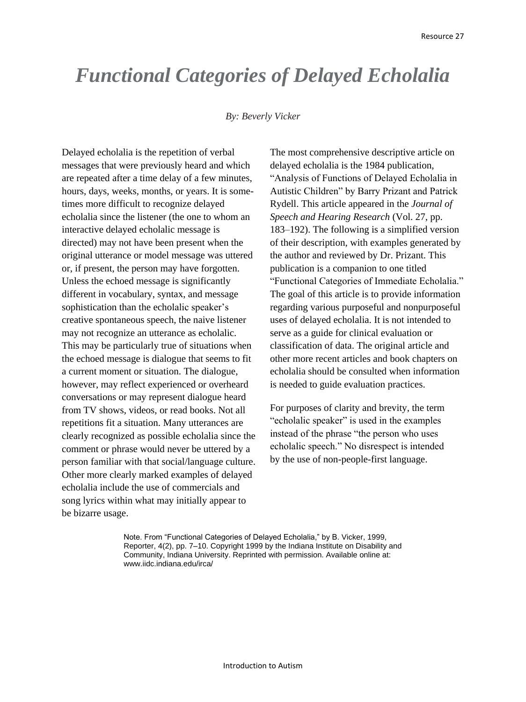## *Functional Categories of Delayed Echolalia*

## *By: Beverly Vicker*

Delayed echolalia is the repetition of verbal messages that were previously heard and which are repeated after a time delay of a few minutes, hours, days, weeks, months, or years. It is sometimes more difficult to recognize delayed echolalia since the listener (the one to whom an interactive delayed echolalic message is directed) may not have been present when the original utterance or model message was uttered or, if present, the person may have forgotten. Unless the echoed message is significantly different in vocabulary, syntax, and message sophistication than the echolalic speaker's creative spontaneous speech, the naive listener may not recognize an utterance as echolalic. This may be particularly true of situations when the echoed message is dialogue that seems to fit a current moment or situation. The dialogue, however, may reflect experienced or overheard conversations or may represent dialogue heard from TV shows, videos, or read books. Not all repetitions fit a situation. Many utterances are clearly recognized as possible echolalia since the comment or phrase would never be uttered by a person familiar with that social/language culture. Other more clearly marked examples of delayed echolalia include the use of commercials and song lyrics within what may initially appear to be bizarre usage.

The most comprehensive descriptive article on delayed echolalia is the 1984 publication, "Analysis of Functions of Delayed Echolalia in Autistic Children" by Barry Prizant and Patrick Rydell. This article appeared in the *Journal of Speech and Hearing Research* (Vol. 27, pp. 183–192). The following is a simplified version of their description, with examples generated by the author and reviewed by Dr. Prizant. This publication is a companion to one titled "Functional Categories of Immediate Echolalia." The goal of this article is to provide information regarding various purposeful and nonpurposeful uses of delayed echolalia. It is not intended to serve as a guide for clinical evaluation or classification of data. The original article and other more recent articles and book chapters on echolalia should be consulted when information is needed to guide evaluation practices.

For purposes of clarity and brevity, the term "echolalic speaker" is used in the examples instead of the phrase "the person who uses echolalic speech." No disrespect is intended by the use of non-people-first language.

Note. From "Functional Categories of Delayed Echolalia," by B. Vicker, 1999, Reporter, 4(2), pp. 7–10. Copyright 1999 by the Indiana Institute on Disability and Community, Indiana University. Reprinted with permission. Available online at: www.iidc.indiana.edu/irca/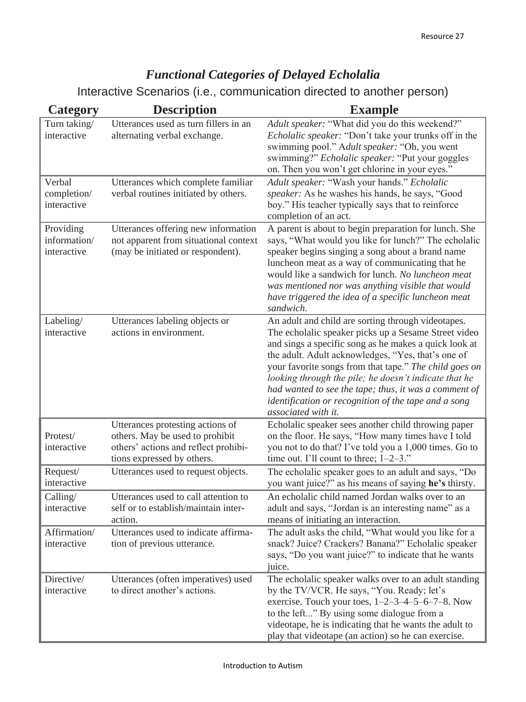## *Functional Categories of Delayed Echolalia*

Interactive Scenarios (i.e., communication directed to another person)

| <b>Category</b>                          | <b>Description</b>                                                                                                                        | <b>Example</b>                                                                                                                                                                                                                                                                                                                                                                                                                                                                       |
|------------------------------------------|-------------------------------------------------------------------------------------------------------------------------------------------|--------------------------------------------------------------------------------------------------------------------------------------------------------------------------------------------------------------------------------------------------------------------------------------------------------------------------------------------------------------------------------------------------------------------------------------------------------------------------------------|
| Turn taking/<br>interactive              | Utterances used as turn fillers in an<br>alternating verbal exchange.                                                                     | Adult speaker: "What did you do this weekend?"<br>Echolalic speaker: "Don't take your trunks off in the<br>swimming pool." Adult speaker: "Oh, you went<br>swimming?" Echolalic speaker: "Put your goggles<br>on. Then you won't get chlorine in your eyes."                                                                                                                                                                                                                         |
| Verbal<br>completion/<br>interactive     | Utterances which complete familiar<br>verbal routines initiated by others.                                                                | Adult speaker: "Wash your hands." Echolalic<br>speaker: As he washes his hands, he says, "Good<br>boy." His teacher typically says that to reinforce<br>completion of an act.                                                                                                                                                                                                                                                                                                        |
| Providing<br>information/<br>interactive | Utterances offering new information<br>not apparent from situational context<br>(may be initiated or respondent).                         | A parent is about to begin preparation for lunch. She<br>says, "What would you like for lunch?" The echolalic<br>speaker begins singing a song about a brand name<br>luncheon meat as a way of communicating that he<br>would like a sandwich for lunch. No luncheon meat<br>was mentioned nor was anything visible that would<br>have triggered the idea of a specific luncheon meat<br>sandwich.                                                                                   |
| Labeling/<br>interactive                 | Utterances labeling objects or<br>actions in environment.                                                                                 | An adult and child are sorting through videotapes.<br>The echolalic speaker picks up a Sesame Street video<br>and sings a specific song as he makes a quick look at<br>the adult. Adult acknowledges, "Yes, that's one of<br>your favorite songs from that tape." The child goes on<br>looking through the pile; he doesn't indicate that he<br>had wanted to see the tape; thus, it was a comment of<br>identification or recognition of the tape and a song<br>associated with it. |
| Protest/<br>interactive                  | Utterances protesting actions of<br>others. May be used to prohibit<br>others' actions and reflect prohibi-<br>tions expressed by others. | Echolalic speaker sees another child throwing paper<br>on the floor. He says, "How many times have I told<br>you not to do that? I've told you a 1,000 times. Go to<br>time out. I'll count to three; $1-2-3$ ."                                                                                                                                                                                                                                                                     |
| Request/<br>interactive                  | Utterances used to request objects.                                                                                                       | The echolalic speaker goes to an adult and says, "Do<br>you want juice?" as his means of saying he's thirsty.                                                                                                                                                                                                                                                                                                                                                                        |
| Calling/<br>interactive                  | Utterances used to call attention to<br>self or to establish/maintain inter-<br>action.                                                   | An echolalic child named Jordan walks over to an<br>adult and says, "Jordan is an interesting name" as a<br>means of initiating an interaction.                                                                                                                                                                                                                                                                                                                                      |
| Affirmation/<br>interactive              | Utterances used to indicate affirma-<br>tion of previous utterance.                                                                       | The adult asks the child, "What would you like for a<br>snack? Juice? Crackers? Banana?" Echolalic speaker<br>says, "Do you want juice?" to indicate that he wants<br>juice.                                                                                                                                                                                                                                                                                                         |
| Directive/<br>interactive                | Utterances (often imperatives) used<br>to direct another's actions.                                                                       | The echolalic speaker walks over to an adult standing<br>by the TV/VCR. He says, "You. Ready; let's<br>exercise. Touch your toes, $1-2-3-4-5-6-7-8$ . Now<br>to the left" By using some dialogue from a<br>videotape, he is indicating that he wants the adult to<br>play that videotape (an action) so he can exercise.                                                                                                                                                             |